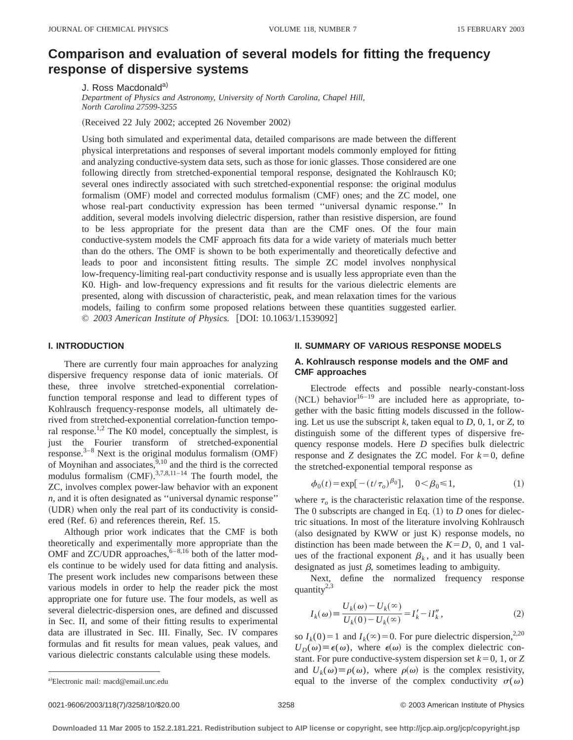# **Comparison and evaluation of several models for fitting the frequency response of dispersive systems**

J. Ross Macdonald<sup>a)</sup>

*Department of Physics and Astronomy, University of North Carolina, Chapel Hill, North Carolina 27599-3255*

(Received 22 July 2002; accepted 26 November 2002)

Using both simulated and experimental data, detailed comparisons are made between the different physical interpretations and responses of several important models commonly employed for fitting and analyzing conductive-system data sets, such as those for ionic glasses. Those considered are one following directly from stretched-exponential temporal response, designated the Kohlrausch K0; several ones indirectly associated with such stretched-exponential response: the original modulus formalism (OMF) model and corrected modulus formalism (CMF) ones; and the ZC model, one whose real-part conductivity expression has been termed ''universal dynamic response.'' In addition, several models involving dielectric dispersion, rather than resistive dispersion, are found to be less appropriate for the present data than are the CMF ones. Of the four main conductive-system models the CMF approach fits data for a wide variety of materials much better than do the others. The OMF is shown to be both experimentally and theoretically defective and leads to poor and inconsistent fitting results. The simple ZC model involves nonphysical low-frequency-limiting real-part conductivity response and is usually less appropriate even than the K0. High- and low-frequency expressions and fit results for the various dielectric elements are presented, along with discussion of characteristic, peak, and mean relaxation times for the various models, failing to confirm some proposed relations between these quantities suggested earlier. © 2003 American Institute of Physics. [DOI: 10.1063/1.1539092]

# **I. INTRODUCTION**

There are currently four main approaches for analyzing dispersive frequency response data of ionic materials. Of these, three involve stretched-exponential correlationfunction temporal response and lead to different types of Kohlrausch frequency-response models, all ultimately derived from stretched-exponential correlation-function temporal response.<sup>1,2</sup> The K0 model, conceptually the simplest, is just the Fourier transform of stretched-exponential response. $3-8$  Next is the original modulus formalism (OMF) of Moynihan and associates,  $9,10$  and the third is the corrected modulus formalism  $(CMF)$ .<sup>3,7,8,11-14</sup> The fourth model, the ZC, involves complex power-law behavior with an exponent *n*, and it is often designated as ''universal dynamic response'' (UDR) when only the real part of its conductivity is considered (Ref. 6) and references therein, Ref. 15.

Although prior work indicates that the CMF is both theoretically and experimentally more appropriate than the OMF and ZC/UDR approaches,  $6-8,16$  both of the latter models continue to be widely used for data fitting and analysis. The present work includes new comparisons between these various models in order to help the reader pick the most appropriate one for future use. The four models, as well as several dielectric-dispersion ones, are defined and discussed in Sec. II, and some of their fitting results to experimental data are illustrated in Sec. III. Finally, Sec. IV compares formulas and fit results for mean values, peak values, and various dielectric constants calculable using these models.

# **II. SUMMARY OF VARIOUS RESPONSE MODELS**

# **A. Kohlrausch response models and the OMF and CMF approaches**

Electrode effects and possible nearly-constant-loss  $(NCL)$  behavior<sup>16–19</sup> are included here as appropriate, together with the basic fitting models discussed in the following. Let us use the subscript *k*, taken equal to *D*, 0, 1, or *Z*, to distinguish some of the different types of dispersive frequency response models. Here *D* specifies bulk dielectric response and *Z* designates the *ZC* model. For  $k=0$ , define the stretched-exponential temporal response as

$$
\phi_0(t) = \exp[-(t/\tau_o)^{\beta_0}], \quad 0 < \beta_0 \le 1,
$$
\n(1)

where  $\tau_o$  is the characteristic relaxation time of the response. The 0 subscripts are changed in Eq.  $(1)$  to *D* ones for dielectric situations. In most of the literature involving Kohlrausch (also designated by KWW or just K) response models, no distinction has been made between the  $K=D$ , 0, and 1 values of the fractional exponent  $\beta_k$ , and it has usually been designated as just  $\beta$ , sometimes leading to ambiguity.

Next, define the normalized frequency response quantity<sup>2,3</sup>

$$
I_k(\omega) \equiv \frac{U_k(\omega) - U_k(\infty)}{U_k(0) - U_k(\infty)} = I'_k - iI''_k,
$$
\n(2)

so  $I_k(0) = 1$  and  $I_k(\infty) = 0$ . For pure dielectric dispersion,<sup>2,20</sup>  $U_D(\omega) \equiv \epsilon(\omega)$ , where  $\epsilon(\omega)$  is the complex dielectric constant. For pure conductive-system dispersion set  $k=0, 1$ , or  $Z$ and  $U_k(\omega) \equiv \rho(\omega)$ , where  $\rho(\omega)$  is the complex resistivity, equal to the inverse of the complex conductivity  $\sigma(\omega)$ 

a)Electronic mail: macd@email.unc.edu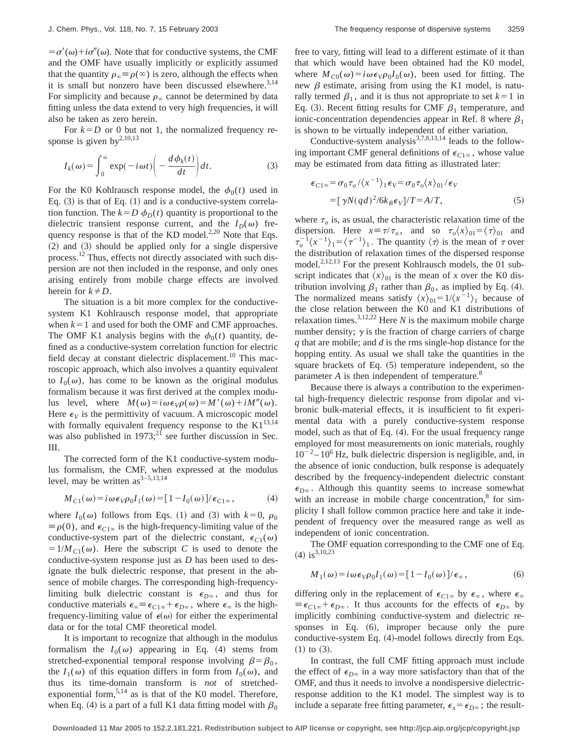$= \sigma'(\omega) + i\sigma''(\omega)$ . Note that for conductive systems, the CMF and the OMF have usually implicitly or explicitly assumed that the quantity  $\rho_{\infty} \equiv \rho(\infty)$  is zero, although the effects when it is small but nonzero have been discussed elsewhere.<sup>3,14</sup> For simplicity and because  $\rho_{\infty}$  cannot be determined by data fitting unless the data extend to very high frequencies, it will also be taken as zero herein.

For  $k=D$  or 0 but not 1, the normalized frequency response is given  $by^{2,10,13}$ 

$$
I_k(\omega) = \int_0^\infty \exp(-i\omega t) \left( -\frac{d\phi_k(t)}{dt} \right) dt.
$$
 (3)

For the K0 Kohlrausch response model, the  $\phi_0(t)$  used in Eq.  $(3)$  is that of Eq.  $(1)$  and is a conductive-system correlation function. The  $k=D\phi_D(t)$  quantity is proportional to the dielectric transient response current, and the  $I_D(\omega)$  frequency response is that of the KD model. $^{2,20}$  Note that Eqs.  $(2)$  and  $(3)$  should be applied only for a single dispersive process.<sup>12</sup> Thus, effects not directly associated with such dispersion are not then included in the response, and only ones arising entirely from mobile charge effects are involved herein for  $k \neq D$ .

The situation is a bit more complex for the conductivesystem K1 Kohlrausch response model, that appropriate when  $k=1$  and used for both the OMF and CMF approaches. The OMF K1 analysis begins with the  $\phi_0(t)$  quantity, defined as a conductive-system correlation function for electric field decay at constant dielectric displacement.<sup>10</sup> This macroscopic approach, which also involves a quantity equivalent to  $I_0(\omega)$ , has come to be known as the original modulus formalism because it was first derived at the complex modulus level, where  $M(\omega) = i \omega \epsilon_V \rho(\omega) = M'(\omega) + i M''(\omega)$ . Here  $\epsilon$ <sub>*V*</sub> is the permittivity of vacuum. A microscopic model with formally equivalent frequency response to the  $K1^{13,14}$ was also published in  $1973$ ;<sup>21</sup> see further discussion in Sec. III.

The corrected form of the K1 conductive-system modulus formalism, the CMF, when expressed at the modulus level, may be written  $as^{3-5,13,14}$ 

$$
M_{C1}(\omega) = i \omega \epsilon_V \rho_0 I_1(\omega) = [1 - I_0(\omega)] / \epsilon_{C1\infty}, \qquad (4)
$$

where  $I_0(\omega)$  follows from Eqs. (1) and (3) with  $k=0$ ,  $\rho_0$  $\equiv \rho(0)$ , and  $\epsilon_{C1\infty}$  is the high-frequency-limiting value of the conductive-system part of the dielectric constant,  $\epsilon_{C1}(\omega)$  $=1/M_{C1}(\omega)$ . Here the subscript *C* is used to denote the conductive-system response just as *D* has been used to designate the bulk dielectric response, that present in the absence of mobile charges. The corresponding high-frequencylimiting bulk dielectric constant is  $\epsilon_{D\infty}$ , and thus for conductive materials  $\epsilon_{\infty} \equiv \epsilon_{C1\infty} + \epsilon_{D\infty}$ , where  $\epsilon_{\infty}$  is the highfrequency-limiting value of  $\epsilon(\omega)$  for either the experimental data or for the total CMF theoretical model.

It is important to recognize that although in the modulus formalism the  $I_0(\omega)$  appearing in Eq. (4) stems from stretched-exponential temporal response involving  $\beta = \beta_0$ , the  $I_1(\omega)$  of this equation differs in form from  $I_0(\omega)$ , and thus its time-domain transform is *not* of stretchedexponential form,  $5,14$  as is that of the K0 model. Therefore, when Eq. (4) is a part of a full K1 data fitting model with  $\beta_0$  free to vary, fitting will lead to a different estimate of it than that which would have been obtained had the K0 model, where  $M_{C0}(\omega) = i \omega \epsilon_V \rho_0 I_0(\omega)$ , been used for fitting. The new  $\beta$  estimate, arising from using the K1 model, is naturally termed  $\beta_1$ , and it is thus not appropriate to set  $k=1$  in Eq. (3). Recent fitting results for CMF  $\beta_1$  temperature, and ionic-concentration dependencies appear in Ref. 8 where  $\beta_1$ is shown to be virtually independent of either variation.

Conductive-system analysis $3,7,8,13,14$  leads to the following important CMF general definitions of  $\epsilon_{C1\infty}$ , whose value may be estimated from data fitting as illustrated later:

$$
\epsilon_{C1\infty} = \sigma_0 \tau_o / \langle x^{-1} \rangle_1 \epsilon_V = \sigma_0 \tau_o \langle x \rangle_{01} / \epsilon_V
$$
  
= 
$$
[\gamma N (q d)^2 / 6 k_B \epsilon_V]/T = A/T,
$$
 (5)

where  $\tau$ <sub>o</sub> is, as usual, the characteristic relaxation time of the dispersion. Here  $x \equiv \tau/\tau_o$ , and so  $\tau_o\langle x \rangle_{01} = \langle \tau \rangle_{01}$  and  $\tau_o^{-1} \langle x^{-1} \rangle_1 = \langle \tau^{-1} \rangle_1$ . The quantity  $\langle \tau \rangle$  is the mean of  $\tau$  over the distribution of relaxation times of the dispersed response model.<sup>2,12,13</sup> For the present Kohlrausch models, the 01 subscript indicates that  $\langle x \rangle_{01}$  is the mean of *x* over the K0 distribution involving  $\beta_1$  rather than  $\beta_0$ , as implied by Eq. (4). The normalized means satisfy  $\langle x \rangle_{01} = 1/\langle x^{-1} \rangle_1$  because of the close relation between the K0 and K1 distributions of relaxation times.<sup>3,12,22</sup> Here *N* is the maximum mobile charge number density;  $\gamma$  is the fraction of charge carriers of charge *q* that are mobile; and *d* is the rms single-hop distance for the hopping entity. As usual we shall take the quantities in the square brackets of Eq.  $(5)$  temperature independent, so the parameter *A* is then independent of temperature.<sup>8</sup>

Because there is always a contribution to the experimental high-frequency dielectric response from dipolar and vibronic bulk-material effects, it is insufficient to fit experimental data with a purely conductive-system response model, such as that of Eq. (4). For the usual frequency range employed for most measurements on ionic materials, roughly  $10^{-2} - 10^{6}$  Hz, bulk dielectric dispersion is negligible, and, in the absence of ionic conduction, bulk response is adequately described by the frequency-independent dielectric constant  $\epsilon_{D^\infty}$ . Although this quantity seems to increase somewhat with an increase in mobile charge concentration, $8$  for simplicity I shall follow common practice here and take it independent of frequency over the measured range as well as independent of ionic concentration.

The OMF equation corresponding to the CMF one of Eq.  $(4)$  is<sup>3,10,23</sup>

$$
M_1(\omega) = i \omega \epsilon_V \rho_0 I_1(\omega) = [1 - I_0(\omega)]/\epsilon_\infty, \qquad (6)
$$

differing only in the replacement of  $\epsilon_{C1\infty}$  by  $\epsilon_{\infty}$ , where  $\epsilon_{\infty}$  $\equiv \epsilon_{C1\infty} + \epsilon_{D\infty}$ . It thus accounts for the effects of  $\epsilon_{D\infty}$  by implicitly combining conductive-system and dielectric responses in Eq.  $(6)$ , improper because only the pure conductive-system Eq.  $(4)$ -model follows directly from Eqs.  $(1)$  to  $(3)$ .

In contrast, the full CMF fitting approach must include the effect of  $\epsilon_{D^\infty}$  in a way more satisfactory than that of the OMF, and thus it needs to involve a nondispersive dielectricresponse addition to the K1 model. The simplest way is to include a separate free fitting parameter,  $\epsilon_x = \epsilon_{D^\infty}$ ; the result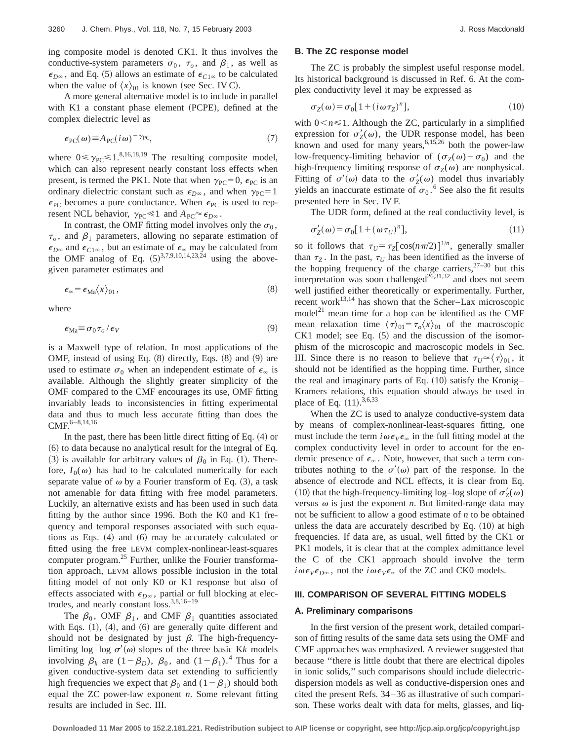ing composite model is denoted CK1. It thus involves the conductive-system parameters  $\sigma_0$ ,  $\tau_0$ , and  $\beta_1$ , as well as  $\epsilon_{D^\infty}$ , and Eq. (5) allows an estimate of  $\epsilon_{C1^\infty}$  to be calculated when the value of  $\langle x \rangle_{01}$  is known (see Sec. IV C).

A more general alternative model is to include in parallel with  $K1$  a constant phase element (PCPE), defined at the complex dielectric level as

$$
\epsilon_{\rm PC}(\omega) \equiv A_{\rm PC}(i\omega)^{-\gamma_{\rm PC}},\tag{7}
$$

where  $0 \leq \gamma_{\text{PC}} \leq 1^{8,16,18,19}$  The resulting composite model, which can also represent nearly constant loss effects when present, is termed the PK1. Note that when  $\gamma_{PC} = 0$ ,  $\epsilon_{PC}$  is an ordinary dielectric constant such as  $\epsilon_{D\infty}$ , and when  $\gamma_{PC} = 1$  $\epsilon_{\text{PC}}$  becomes a pure conductance. When  $\epsilon_{\text{PC}}$  is used to represent NCL behavior,  $\gamma_{PC} \le 1$  and  $A_{PC} \approx \epsilon_{D\infty}$ .

In contrast, the OMF fitting model involves only the  $\sigma_0$ ,  $\tau_o$ , and  $\beta_1$  parameters, allowing no separate estimation of  $\epsilon_{D^\infty}$  and  $\epsilon_{C1^\infty}$ , but an estimate of  $\epsilon_\infty$  may be calculated from the OMF analog of Eq.  $(5)^{3,7,9,10,14,23,24}$  using the abovegiven parameter estimates and

$$
\epsilon_{\infty} = \epsilon_{\text{Ma}} \langle x \rangle_{01},\tag{8}
$$

where

$$
\epsilon_{\text{Ma}} \equiv \sigma_0 \tau_o / \epsilon_V \tag{9}
$$

is a Maxwell type of relation. In most applications of the OMF, instead of using Eq.  $(8)$  directly, Eqs.  $(8)$  and  $(9)$  are used to estimate  $\sigma_0$  when an independent estimate of  $\epsilon_{\infty}$  is available. Although the slightly greater simplicity of the OMF compared to the CMF encourages its use, OMF fitting invariably leads to inconsistencies in fitting experimental data and thus to much less accurate fitting than does the  $CMF.$ <sup>6–8,14,16</sup>

In the past, there has been little direct fitting of Eq.  $(4)$  or  $(6)$  to data because no analytical result for the integral of Eq. (3) is available for arbitrary values of  $\beta_0$  in Eq. (1). Therefore,  $I_0(\omega)$  has had to be calculated numerically for each separate value of  $\omega$  by a Fourier transform of Eq. (3), a task not amenable for data fitting with free model parameters. Luckily, an alternative exists and has been used in such data fitting by the author since 1996. Both the K0 and K1 frequency and temporal responses associated with such equations as Eqs.  $(4)$  and  $(6)$  may be accurately calculated or fitted using the free LEVM complex-nonlinear-least-squares computer program.<sup>25</sup> Further, unlike the Fourier transformation approach, LEVM allows possible inclusion in the total fitting model of not only K0 or K1 response but also of effects associated with  $\epsilon_{D\infty}$ , partial or full blocking at electrodes, and nearly constant  $loss^{3,8,16-19}$ 

The  $\beta_0$ , OMF  $\beta_1$ , and CMF  $\beta_1$  quantities associated with Eqs.  $(1)$ ,  $(4)$ , and  $(6)$  are generally quite different and should not be designated by just  $\beta$ . The high-frequencylimiting log–log  $\sigma'(\omega)$  slopes of the three basic Kk models involving  $\beta_k$  are  $(1-\beta_D)$ ,  $\beta_0$ , and  $(1-\beta_1)$ .<sup>4</sup> Thus for a given conductive-system data set extending to sufficiently high frequencies we expect that  $\beta_0$  and  $(1-\beta_1)$  should both equal the ZC power-law exponent *n*. Some relevant fitting results are included in Sec. III.

# **B. The ZC response model**

The ZC is probably the simplest useful response model. Its historical background is discussed in Ref. 6. At the complex conductivity level it may be expressed as

$$
\sigma_Z(\omega) = \sigma_0[1 + (i\omega \tau_Z)^n],\tag{10}
$$

with  $0 \le n \le 1$ . Although the ZC, particularly in a simplified expression for  $\sigma'_Z(\omega)$ , the UDR response model, has been known and used for many years,<sup>6,15,26</sup> both the power-law low-frequency-limiting behavior of  $(\sigma_Z(\omega) - \sigma_0)$  and the high-frequency limiting response of  $\sigma_Z(\omega)$  are nonphysical. Fitting of  $\sigma'(\omega)$  data to the  $\sigma'_Z(\omega)$  model thus invariably yields an inaccurate estimate of  $\sigma_0$ .<sup>6</sup> See also the fit results presented here in Sec. IV F.

The UDR form, defined at the real conductivity level, is

$$
\sigma_Z'(\omega) = \sigma_0[1 + (\omega \tau_U)^n],\tag{11}
$$

so it follows that  $\tau_U = \tau_Z [\cos(n\pi/2)]^{1/n}$ , generally smaller than  $\tau_Z$ . In the past,  $\tau_U$  has been identified as the inverse of the hopping frequency of the charge carriers,  $27-30$  but this interpretation was soon challenged<sup>26,31,32</sup> and does not seem well justified either theoretically or experimentally. Further, recent work $^{13,14}$  has shown that the Scher–Lax microscopic model<sup>21</sup> mean time for a hop can be identified as the CMF mean relaxation time  $\langle \tau \rangle_{01} = \tau_o \langle x \rangle_{01}$  of the macroscopic  $CK1$  model; see Eq.  $(5)$  and the discussion of the isomorphism of the microscopic and macroscopic models in Sec. III. Since there is no reason to believe that  $\tau_U \simeq \langle \tau \rangle_{01}$ , it should not be identified as the hopping time. Further, since the real and imaginary parts of Eq.  $(10)$  satisfy the Kronig– Kramers relations, this equation should always be used in place of Eq.  $(11).^{3,6,33}$ 

When the ZC is used to analyze conductive-system data by means of complex-nonlinear-least-squares fitting, one must include the term  $i\omega \epsilon_V \epsilon_\infty$  in the full fitting model at the complex conductivity level in order to account for the endemic presence of  $\epsilon_{\infty}$ . Note, however, that such a term contributes nothing to the  $\sigma'(\omega)$  part of the response. In the absence of electrode and NCL effects, it is clear from Eq. (10) that the high-frequency-limiting log-log slope of  $\sigma'_Z(\omega)$ versus  $\omega$  is just the exponent  $n$ . But limited-range data may not be sufficient to allow a good estimate of *n* to be obtained unless the data are accurately described by Eq.  $(10)$  at high frequencies. If data are, as usual, well fitted by the CK1 or PK1 models, it is clear that at the complex admittance level the C of the CK1 approach should involve the term  $i\omega \epsilon_V \epsilon_{D\infty}$ , not the  $i\omega \epsilon_V \epsilon_{\infty}$  of the ZC and CK0 models.

### **III. COMPARISON OF SEVERAL FITTING MODELS**

### **A. Preliminary comparisons**

In the first version of the present work, detailed comparison of fitting results of the same data sets using the OMF and CMF approaches was emphasized. A reviewer suggested that because ''there is little doubt that there are electrical dipoles in ionic solids,'' such comparisons should include dielectricdispersion models as well as conductive-dispersion ones and cited the present Refs. 34–36 as illustrative of such comparison. These works dealt with data for melts, glasses, and liq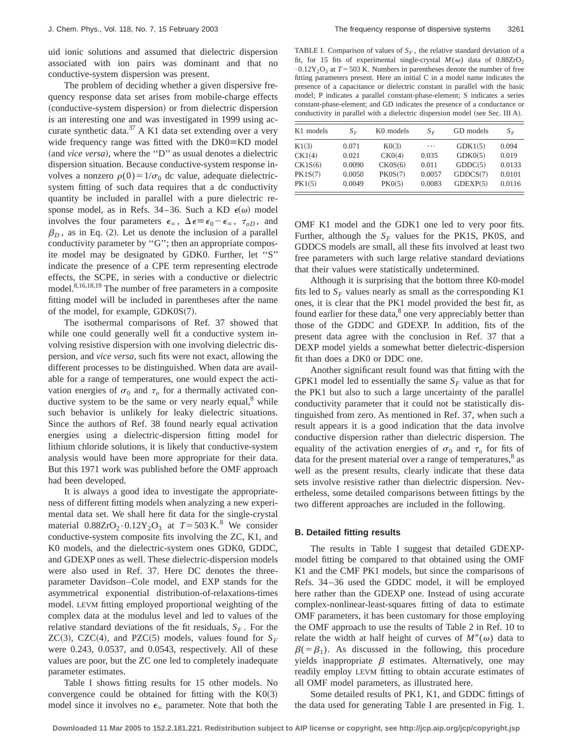uid ionic solutions and assumed that dielectric dispersion associated with ion pairs was dominant and that no conductive-system dispersion was present.

The problem of deciding whether a given dispersive frequency response data set arises from mobile-charge effects (conductive-system dispersion) or from dielectric dispersion is an interesting one and was investigated in 1999 using accurate synthetic data.37 A K1 data set extending over a very wide frequency range was fitted with the  $DK0=KD$  model (and *vice versa*), where the "D" as usual denotes a dielectric dispersion situation. Because conductive-system response involves a nonzero  $\rho(0) = 1/\sigma_0$  dc value, adequate dielectricsystem fitting of such data requires that a dc conductivity quantity be included in parallel with a pure dielectric response model, as in Refs. 34–36. Such a KD  $\epsilon(\omega)$  model involves the four parameters  $\epsilon_{\infty}$ ,  $\Delta \epsilon \equiv \epsilon_0 - \epsilon_{\infty}$ ,  $\tau_{oD}$ , and  $\beta_D$ , as in Eq. (2). Let us denote the inclusion of a parallel conductivity parameter by ''G''; then an appropriate composite model may be designated by GDK0. Further, let ''S'' indicate the presence of a CPE term representing electrode effects, the SCPE, in series with a conductive or dielectric model.<sup>8,16,18,19</sup> The number of free parameters in a composite fitting model will be included in parentheses after the name of the model, for example,  $GDK0S(7)$ .

The isothermal comparisons of Ref. 37 showed that while one could generally well fit a conductive system involving resistive dispersion with one involving dielectric dispersion, and *vice versa*, such fits were not exact, allowing the different processes to be distinguished. When data are available for a range of temperatures, one would expect the activation energies of  $\sigma_0$  and  $\tau_0$  for a thermally activated conductive system to be the same or very nearly equal, $\delta$  while such behavior is unlikely for leaky dielectric situations. Since the authors of Ref. 38 found nearly equal activation energies using a dielectric-dispersion fitting model for lithium chloride solutions, it is likely that conductive-system analysis would have been more appropriate for their data. But this 1971 work was published before the OMF approach had been developed.

It is always a good idea to investigate the appropriateness of different fitting models when analyzing a new experimental data set. We shall here fit data for the single-crystal material  $0.88ZrO<sub>2</sub> \cdot 0.12Y<sub>2</sub>O<sub>3</sub>$  at  $T = 503 \text{ K}$ .<sup>8</sup> We consider conductive-system composite fits involving the ZC, K1, and K0 models, and the dielectric-system ones GDK0, GDDC, and GDEXP ones as well. These dielectric-dispersion models were also used in Ref. 37. Here DC denotes the threeparameter Davidson–Cole model, and EXP stands for the asymmetrical exponential distribution-of-relaxations-times model. LEVM fitting employed proportional weighting of the complex data at the modulus level and led to values of the relative standard deviations of the fit residuals,  $S_F$ . For the ZC(3), CZC(4), and PZC(5) models, values found for  $S_F$ were 0.243, 0.0537, and 0.0543, respectively. All of these values are poor, but the ZC one led to completely inadequate parameter estimates.

Table I shows fitting results for 15 other models. No convergence could be obtained for fitting with the  $K0(3)$ model since it involves no  $\epsilon_{\infty}$  parameter. Note that both the

TABLE I. Comparison of values of  $S_F$ , the relative standard deviation of a fit, for 15 fits of experimental single-crystal  $M(\omega)$  data of 0.88ZrO<sub>2</sub>  $\cdot$  0.12Y<sub>2</sub>O<sub>3</sub> at *T* = 503 K. Numbers in parentheses denote the number of free fitting parameters present. Here an initial C in a model name indicates the presence of a capacitance or dielectric constant in parallel with the basic model; P indicates a parallel constant-phase-element; S indicates a series constant-phase-element; and GD indicates the presence of a conductance or conductivity in parallel with a dielectric dispersion model (see Sec. III A).

| K <sub>1</sub> models | $S_F$  | K <sub>0</sub> models | $S_E$  | GD models | $S_F$  |
|-----------------------|--------|-----------------------|--------|-----------|--------|
| K1(3)                 | 0.071  | K <sub>0</sub> (3)    | .      | GDK1(5)   | 0.094  |
| CK1(4)                | 0.021  | CKO(4)                | 0.035  | GDKO(5)   | 0.019  |
| CK1S(6)               | 0.0090 | CKOS(6)               | 0.011  | GDDC(5)   | 0.0133 |
| PK1S(7)               | 0.0050 | PKOS(7)               | 0.0057 | GDDCS(7)  | 0.0101 |
| PK1(5)                | 0.0049 | PK0(5)                | 0.0083 | GDEXP(5)  | 0.0116 |

OMF K1 model and the GDK1 one led to very poor fits. Further, although the  $S_F$  values for the PK1S, PK0S, and GDDCS models are small, all these fits involved at least two free parameters with such large relative standard deviations that their values were statistically undetermined.

Although it is surprising that the bottom three K0-model fits led to  $S_F$  values nearly as small as the corresponding K1 ones, it is clear that the PK1 model provided the best fit, as found earlier for these data, $8$  one very appreciably better than those of the GDDC and GDEXP. In addition, fits of the present data agree with the conclusion in Ref. 37 that a DEXP model yields a somewhat better dielectric-dispersion fit than does a DK0 or DDC one.

Another significant result found was that fitting with the GPK1 model led to essentially the same  $S_F$  value as that for the PK1 but also to such a large uncertainty of the parallel conductivity parameter that it could not be statistically distinguished from zero. As mentioned in Ref. 37, when such a result appears it is a good indication that the data involve conductive dispersion rather than dielectric dispersion. The equality of the activation energies of  $\sigma_0$  and  $\tau_0$  for fits of data for the present material over a range of temperatures, $8$  as well as the present results, clearly indicate that these data sets involve resistive rather than dielectric dispersion. Nevertheless, some detailed comparisons between fittings by the two different approaches are included in the following.

#### **B. Detailed fitting results**

The results in Table I suggest that detailed GDEXPmodel fitting be compared to that obtained using the OMF K1 and the CMF PK1 models, but since the comparisons of Refs. 34–36 used the GDDC model, it will be employed here rather than the GDEXP one. Instead of using accurate complex-nonlinear-least-squares fitting of data to estimate OMF parameters, it has been customary for those employing the OMF approach to use the results of Table 2 in Ref. 10 to relate the width at half height of curves of  $M''(\omega)$  data to  $\beta(=\beta_1)$ . As discussed in the following, this procedure yields inappropriate  $\beta$  estimates. Alternatively, one may readily employ LEVM fitting to obtain accurate estimates of all OMF model parameters, as illustrated here.

Some detailed results of PK1, K1, and GDDC fittings of the data used for generating Table I are presented in Fig. 1.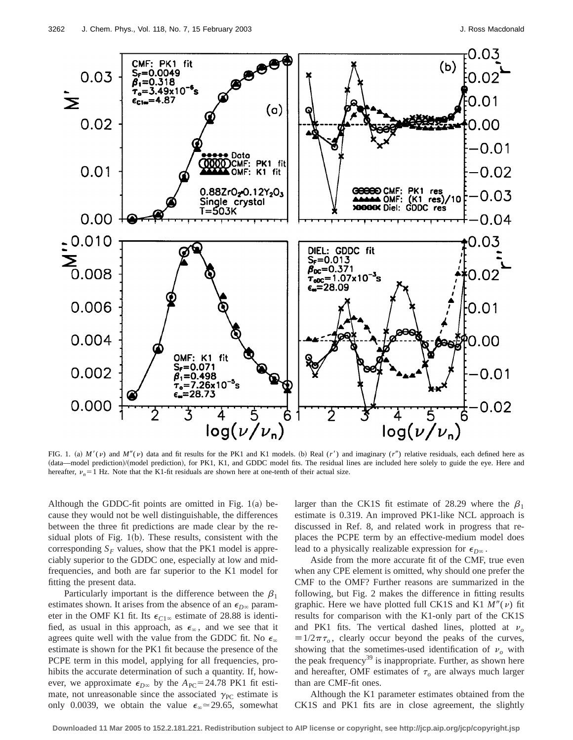

FIG. 1. (a)  $M'(v)$  and  $M''(v)$  data and fit results for the PK1 and K1 models. (b) Real  $(r')$  and imaginary  $(r'')$  relative residuals, each defined here as (data—model prediction)/(model prediction), for PK1, K1, and GDDC model fits. The residual lines are included here solely to guide the eye. Here and hereafter,  $\nu_n = 1$  Hz. Note that the K1-fit residuals are shown here at one-tenth of their actual size.

Although the GDDC-fit points are omitted in Fig.  $1(a)$  because they would not be well distinguishable, the differences between the three fit predictions are made clear by the residual plots of Fig.  $1(b)$ . These results, consistent with the corresponding  $S_F$  values, show that the PK1 model is appreciably superior to the GDDC one, especially at low and midfrequencies, and both are far superior to the K1 model for fitting the present data.

Particularly important is the difference between the  $\beta_1$ estimates shown. It arises from the absence of an  $\epsilon_{D^\infty}$  parameter in the OMF K1 fit. Its  $\epsilon_{C1\infty}$  estimate of 28.88 is identified, as usual in this approach, as  $\epsilon_{\infty}$ , and we see that it agrees quite well with the value from the GDDC fit. No  $\epsilon_{\infty}$ estimate is shown for the PK1 fit because the presence of the PCPE term in this model, applying for all frequencies, prohibits the accurate determination of such a quantity. If, however, we approximate  $\epsilon_{D^\infty}$  by the  $A_{PC}$ =24.78 PK1 fit estimate, not unreasonable since the associated  $\gamma_{PC}$  estimate is only 0.0039, we obtain the value  $\epsilon_{\infty} \approx 29.65$ , somewhat larger than the CK1S fit estimate of 28.29 where the  $\beta_1$ estimate is 0.319. An improved PK1-like NCL approach is discussed in Ref. 8, and related work in progress that replaces the PCPE term by an effective-medium model does lead to a physically realizable expression for  $\epsilon_{D^\infty}$ .

Aside from the more accurate fit of the CMF, true even when any CPE element is omitted, why should one prefer the CMF to the OMF? Further reasons are summarized in the following, but Fig. 2 makes the difference in fitting results graphic. Here we have plotted full CK1S and K1  $M''(v)$  fit results for comparison with the K1-only part of the CK1S and PK1 fits. The vertical dashed lines, plotted at  $v<sub>o</sub>$  $\equiv 1/2\pi\tau_o$ , clearly occur beyond the peaks of the curves, showing that the sometimes-used identification of  $v<sub>o</sub>$  with the peak frequency<sup>39</sup> is inappropriate. Further, as shown here and hereafter, OMF estimates of  $\tau$ <sub>o</sub> are always much larger than are CMF-fit ones.

Although the K1 parameter estimates obtained from the CK1S and PK1 fits are in close agreement, the slightly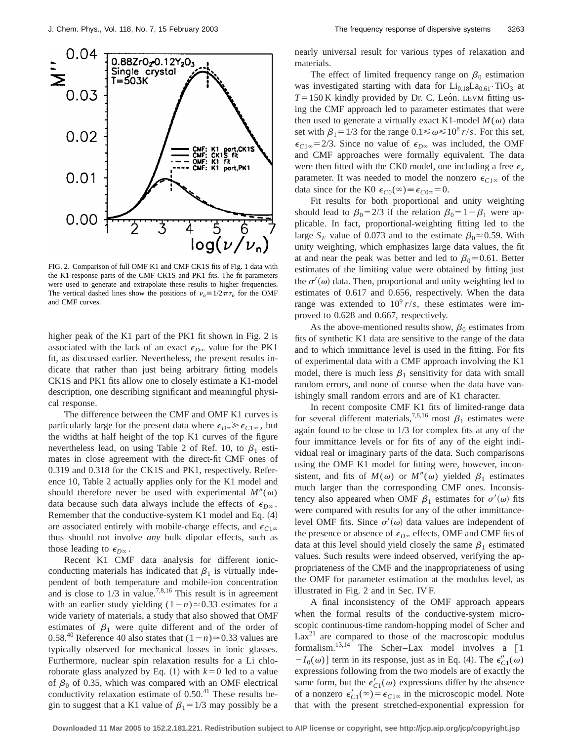

FIG. 2. Comparison of full OMF K1 and CMF CK1S fits of Fig. 1 data with the K1-response parts of the CMF CK1S and PK1 fits. The fit parameters were used to generate and extrapolate these results to higher frequencies. The vertical dashed lines show the positions of  $v_o=1/2\pi\tau_o$  for the OMF and CMF curves.

higher peak of the K1 part of the PK1 fit shown in Fig. 2 is associated with the lack of an exact  $\epsilon_{D^\infty}$  value for the PK1 fit, as discussed earlier. Nevertheless, the present results indicate that rather than just being arbitrary fitting models CK1S and PK1 fits allow one to closely estimate a K1-model description, one describing significant and meaningful physical response.

The difference between the CMF and OMF K1 curves is particularly large for the present data where  $\epsilon_{D^\infty} \gg \epsilon_{C1^\infty}$ , but the widths at half height of the top K1 curves of the figure nevertheless lead, on using Table 2 of Ref. 10, to  $\beta_1$  estimates in close agreement with the direct-fit CMF ones of 0.319 and 0.318 for the CK1S and PK1, respectively. Reference 10, Table 2 actually applies only for the K1 model and should therefore never be used with experimental  $M''(\omega)$ data because such data always include the effects of  $\epsilon_{D^\infty}$ . Remember that the conductive-system K1 model and Eq.  $(4)$ are associated entirely with mobile-charge effects, and  $\epsilon_{C1\infty}$ thus should not involve *any* bulk dipolar effects, such as those leading to  $\epsilon_{D^\infty}$ .

Recent K1 CMF data analysis for different ionicconducting materials has indicated that  $\beta_1$  is virtually independent of both temperature and mobile-ion concentration and is close to  $1/3$  in value.<sup>7,8,16</sup> This result is in agreement with an earlier study yielding  $(1-n) \approx 0.33$  estimates for a wide variety of materials, a study that also showed that OMF estimates of  $\beta_1$  were quite different and of the order of 0.58<sup>.40</sup> Reference 40 also states that  $(1-n) \approx 0.33$  values are typically observed for mechanical losses in ionic glasses. Furthermore, nuclear spin relaxation results for a Li chloroborate glass analyzed by Eq.  $(1)$  with  $k=0$  led to a value of  $\beta_0$  of 0.35, which was compared with an OMF electrical conductivity relaxation estimate of  $0.50<sup>41</sup>$  These results begin to suggest that a K1 value of  $\beta_1 = 1/3$  may possibly be a nearly universal result for various types of relaxation and materials.

The effect of limited frequency range on  $\beta_0$  estimation was investigated starting with data for  $Li_{0.18}La_{0.61}$  · TiO<sub>3</sub> at  $T=150$  K kindly provided by Dr. C. Leon. LEVM fitting using the CMF approach led to parameter estimates that were then used to generate a virtually exact K1-model  $M(\omega)$  data set with  $\beta_1 = 1/3$  for the range  $0.1 \le \omega \le 10^8$  *r/s*. For this set,  $\epsilon_{C1\infty}$  = 2/3. Since no value of  $\epsilon_{D\infty}$  was included, the OMF and CMF approaches were formally equivalent. The data were then fitted with the CK0 model, one including a free  $\epsilon_x$ parameter. It was needed to model the nonzero  $\epsilon_{C1\infty}$  of the data since for the K0  $\epsilon_{C0}(\infty) \equiv \epsilon_{C0\infty} = 0$ .

Fit results for both proportional and unity weighting should lead to  $\beta_0 = 2/3$  if the relation  $\beta_0 = 1 - \beta_1$  were applicable. In fact, proportional-weighting fitting led to the large  $S_F$  value of 0.073 and to the estimate  $\beta_0 \approx 0.59$ . With unity weighting, which emphasizes large data values, the fit at and near the peak was better and led to  $\beta_0 \approx 0.61$ . Better estimates of the limiting value were obtained by fitting just the  $\sigma'(\omega)$  data. Then, proportional and unity weighting led to estimates of 0.617 and 0.656, respectively. When the data range was extended to  $10^9$  r/s, these estimates were improved to 0.628 and 0.667, respectively.

As the above-mentioned results show,  $\beta_0$  estimates from fits of synthetic K1 data are sensitive to the range of the data and to which immittance level is used in the fitting. For fits of experimental data with a CMF approach involving the K1 model, there is much less  $\beta_1$  sensitivity for data with small random errors, and none of course when the data have vanishingly small random errors and are of K1 character.

In recent composite CMF K1 fits of limited-range data for several different materials,<sup>7,8,16</sup> most  $\beta_1$  estimates were again found to be close to 1/3 for complex fits at any of the four immittance levels or for fits of any of the eight individual real or imaginary parts of the data. Such comparisons using the OMF K1 model for fitting were, however, inconsistent, and fits of  $M(\omega)$  or  $M''(\omega)$  yielded  $\beta_1$  estimates much larger than the corresponding CMF ones. Inconsistency also appeared when OMF  $\beta_1$  estimates for  $\sigma'(\omega)$  fits were compared with results for any of the other immittancelevel OMF fits. Since  $\sigma'(\omega)$  data values are independent of the presence or absence of  $\epsilon_{D^\infty}$  effects, OMF and CMF fits of data at this level should yield closely the same  $\beta_1$  estimated values. Such results were indeed observed, verifying the appropriateness of the CMF and the inappropriateness of using the OMF for parameter estimation at the modulus level, as illustrated in Fig. 2 and in Sec. IV F.

A final inconsistency of the OMF approach appears when the formal results of the conductive-system microscopic continuous-time random-hopping model of Scher and  $Lax^{21}$  are compared to those of the macroscopic modulus formalism. $13,14$  The Scher–Lax model involves a [1]  $-I_0(\omega)$  term in its response, just as in Eq. (4). The  $\epsilon''_{C_1}(\omega)$ expressions following from the two models are of exactly the same form, but the  $\epsilon'_{C_1}(\omega)$  expressions differ by the absence of a nonzero  $\epsilon'_{C_1}(\infty) = \epsilon_{C_1\infty}$  in the microscopic model. Note that with the present stretched-exponential expression for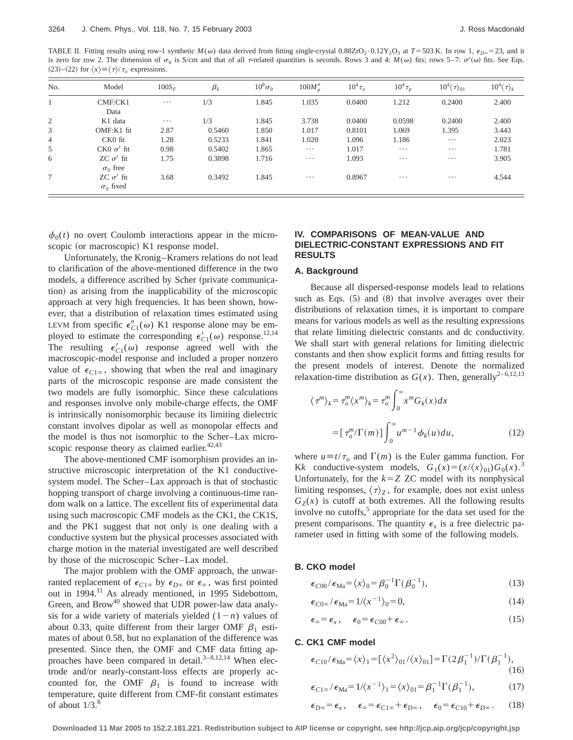TABLE II. Fitting results using row-1 synthetic  $M(\omega)$  data derived from fitting single-crystal 0.88ZrO<sub>2</sub>·0.12Y<sub>2</sub>O<sub>3</sub> at *T*=503 K. In row 1,  $\epsilon_{D\infty}$ =23, and it is zero for row 2. The dimension of  $\sigma_0$  is S/cm and that of all  $\tau$ -related quantities is seconds. Rows 3 and 4:  $M(\omega)$  fits; rows 5–7:  $\sigma'(\omega)$  fits. See Eqs.  $(23)$ – $(22)$  for  $\langle x \rangle \equiv \langle \tau \rangle / \tau_o$  expressions.

| No.            | Model                                | $100S_F$ | $\beta_k$ | $10^8 \sigma_0$ | $100M''_p$ | $10^4 \tau_o$ | $10^4 \tau_{p}$ | $10^4 \langle \tau \rangle_{01}$ | $10^4 \langle \tau \rangle_k$ |
|----------------|--------------------------------------|----------|-----------|-----------------|------------|---------------|-----------------|----------------------------------|-------------------------------|
|                | CMF:CK1<br>Data                      | $\cdots$ | 1/3       | 1.845           | 1.035      | 0.0400        | 1.212           | 0.2400                           | 2.400                         |
| 2              | K1 data                              | $\cdots$ | 1/3       | 1.845           | 3.738      | 0.0400        | 0.0598          | 0.2400                           | 2.400                         |
| 3              | OMF:K1 fit                           | 2.87     | 0.5460    | 1.850           | 1.017      | 0.8101        | 1.069           | 1.395                            | 3.443                         |
| $\overline{4}$ | $CKO$ fit                            | 1.28     | 0.5233    | 1.841           | 1.020      | 1.096         | 1.186           | $\cdots$                         | 2.023                         |
| 5              | $CK0 \sigma'$ fit                    | 0.98     | 0.5402    | 1.865           | $\cdots$   | 1.017         | $\cdots$        | $\cdots$                         | 1.781                         |
| 6              | $ZC \sigma'$ fit<br>$\sigma_0$ free  | 1.75     | 0.3898    | 1.716           | $\cdots$   | 1.093         | $\cdots$        | $\cdots$                         | 3.905                         |
| 7              | $ZC \sigma'$ fit<br>$\sigma_0$ fixed | 3.68     | 0.3492    | 1.845           | $\cdots$   | 0.8967        | $\cdots$        | $\cdots$                         | 4.544                         |

 $\phi_0(t)$  no overt Coulomb interactions appear in the microscopic (or macroscopic) K1 response model.

Unfortunately, the Kronig–Kramers relations do not lead to clarification of the above-mentioned difference in the two models, a difference ascribed by Scher (private communication) as arising from the inapplicability of the microscopic approach at very high frequencies. It has been shown, however, that a distribution of relaxation times estimated using LEVM from specific  $\epsilon''_{C_1}(\omega)$  K1 response alone may be employed to estimate the corresponding  $\epsilon'_{C_1}(\omega)$  response.<sup>12,14</sup> The resulting  $\epsilon'_{C}(\omega)$  response agreed well with the macroscopic-model response and included a proper nonzero value of  $\epsilon_{C1\infty}$ , showing that when the real and imaginary parts of the microscopic response are made consistent the two models are fully isomorphic. Since these calculations and responses involve only mobile-charge effects, the OMF is intrinsically nonisomorphic because its limiting dielectric constant involves dipolar as well as monopolar effects and the model is thus not isomorphic to the Scher–Lax microscopic response theory as claimed earlier.<sup>42,43</sup>

The above-mentioned CMF isomorphism provides an instructive microscopic interpretation of the K1 conductivesystem model. The Scher–Lax approach is that of stochastic hopping transport of charge involving a continuous-time random walk on a lattice. The excellent fits of experimental data using such macroscopic CMF models as the CK1, the CK1S, and the PK1 suggest that not only is one dealing with a conductive system but the physical processes associated with charge motion in the material investigated are well described by those of the microscopic Scher–Lax model.

The major problem with the OMF approach, the unwarranted replacement of  $\epsilon_{C1\infty}$  by  $\epsilon_{D\infty}$  or  $\epsilon_{\infty}$ , was first pointed out in 1994.<sup>11</sup> As already mentioned, in 1995 Sidebottom, Green, and  $Brown^{40}$  showed that UDR power-law data analysis for a wide variety of materials yielded  $(1-n)$  values of about 0.33, quite different from their larger OMF  $\beta_1$  estimates of about 0.58, but no explanation of the difference was presented. Since then, the OMF and CMF data fitting approaches have been compared in detail. $3-8,12,14$  When electrode and/or nearly-constant-loss effects are properly accounted for, the OMF  $\beta_1$  is found to increase with temperature, quite different from CMF-fit constant estimates of about  $1/3$ .<sup>8</sup>

# **IV. COMPARISONS OF MEAN-VALUE AND DIELECTRIC-CONSTANT EXPRESSIONS AND FIT RESULTS**

### **A. Background**

Because all dispersed-response models lead to relations such as Eqs.  $(5)$  and  $(8)$  that involve averages over their distributions of relaxation times, it is important to compare means for various models as well as the resulting expressions that relate limiting dielectric constants and dc conductivity. We shall start with general relations for limiting dielectric constants and then show explicit forms and fitting results for the present models of interest. Denote the normalized relaxation-time distribution as  $G(x)$ . Then, generally<sup>2-6,12,13</sup>

$$
\langle \tau^m \rangle_k = \tau_o^m \langle x^m \rangle_k = \tau_o^m \int_0^\infty x^m G_k(x) dx
$$

$$
= [\tau_o^m / \Gamma(m)] \int_0^\infty u^{m-1} \phi_k(u) du,
$$
 (12)

where  $u \equiv t/\tau_o$  and  $\Gamma(m)$  is the Euler gamma function. For K*k* conductive-system models,  $G_1(x) = (x/(x))G_0(x)$ .<sup>3</sup> Unfortunately, for the  $k=Z$  ZC model with its nonphysical limiting responses,  $\langle \tau \rangle_z$ , for example, does not exist unless  $G_Z(x)$  is cutoff at both extremes. All the following results involve no cutoffs,<sup>5</sup> appropriate for the data set used for the present comparisons. The quantity  $\epsilon_x$  is a free dielectric parameter used in fitting with some of the following models.

### **B. CKO model**

$$
\epsilon_{C00}/\epsilon_{Ma} = \langle x \rangle_0 = \beta_0^{-1} \Gamma(\beta_0^{-1}), \tag{13}
$$

$$
\epsilon_{C0^{\infty}}/\epsilon_{\text{Ma}} = 1/\langle x^{-1} \rangle_0 = 0, \tag{14}
$$

$$
\epsilon_{\infty} = \epsilon_x, \quad \epsilon_0 = \epsilon_{C00} + \epsilon_{\infty}.
$$
\n(15)

### **C. CK1 CMF model**

$$
\epsilon_{C10}/\epsilon_{Ma} = \langle x \rangle_1 = [\langle x^2 \rangle_{01}/\langle x \rangle_{01}] = \Gamma(2\beta_1^{-1})/\Gamma(\beta_1^{-1}),
$$
\n(16)

$$
\epsilon_{C1\infty}/\epsilon_{Ma} = 1/\langle x^{-1} \rangle_1 = \langle x \rangle_{01} = \beta_1^{-1} \Gamma(\beta_1^{-1}), \tag{17}
$$

$$
\epsilon_{D\infty} = \epsilon_x, \quad \epsilon_{\infty} = \epsilon_{C1\infty} + \epsilon_{D\infty}, \quad \epsilon_0 = \epsilon_{C10} + \epsilon_{D\infty}.
$$
 (18)

**Downloaded 11 Mar 2005 to 152.2.181.221. Redistribution subject to AIP license or copyright, see http://jcp.aip.org/jcp/copyright.jsp**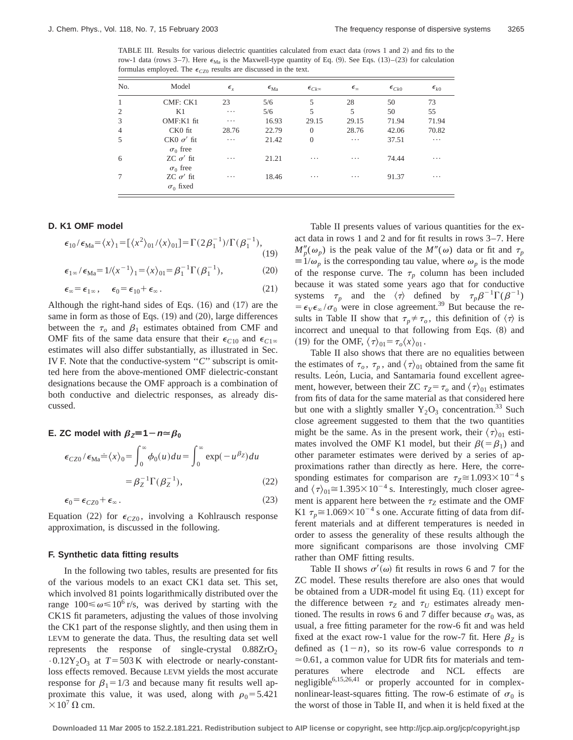TABLE III. Results for various dielectric quantities calculated from exact data (rows 1 and 2) and fits to the row-1 data (rows 3–7). Here  $\epsilon_{\text{Ma}}$  is the Maxwell-type quantity of Eq. (9). See Eqs. (13)–(23) for calculation formulas employed. The  $\epsilon_{CZ0}$  results are discussed in the text.

| No.            | Model                                | $\epsilon_{r}$ | $\epsilon_{\text{Ma}}$ | $\epsilon_{Ck\infty}$ | $\epsilon_{\infty}$ | $\epsilon_{Ck0}$ | $\epsilon_{k0}$ |
|----------------|--------------------------------------|----------------|------------------------|-----------------------|---------------------|------------------|-----------------|
| $\mathbf{1}$   | CMF: CK1                             | 23             | 5/6                    | 5                     | 28                  | 50               | 73              |
| 2              | K1                                   | $\cdots$       | 5/6                    | 5                     | 5                   | 50               | 55              |
| 3              | OMF:K1 fit                           | $\cdots$       | 16.93                  | 29.15                 | 29.15               | 71.94            | 71.94           |
| $\overline{4}$ | CK0 fit                              | 28.76          | 22.79                  | $\Omega$              | 28.76               | 42.06            | 70.82           |
| 5              | $CK0 \sigma'$ fit<br>$\sigma_0$ free | $\cdots$       | 21.42                  | $\Omega$              | $\cdots$            | 37.51            | $\cdots$        |
| 6              | $ZC \sigma'$ fit<br>$\sigma_0$ free  | .              | 21.21                  | .                     | .                   | 74.44            | $\cdots$        |
| 7              | ZC $\sigma'$ fit<br>$\sigma_0$ fixed | .              | 18.46                  | .                     | .                   | 91.37            | $\cdots$        |

### **D. K1 OMF model**

$$
\epsilon_{10}/\epsilon_{\text{Ma}} = \langle x \rangle_1 = [\langle x^2 \rangle_{01}/\langle x \rangle_{01}] = \Gamma(2\beta_1^{-1})/\Gamma(\beta_1^{-1}),
$$
\n(19)

 $\epsilon_{1\infty}/\epsilon_{\text{Ma}} = 1/\langle x^{-1} \rangle_1 = \langle x \rangle_0 = \beta_1^{-1} \Gamma(\beta_1^{-1})$  $(20)$ 

$$
\epsilon_{\infty} = \epsilon_{1\infty}, \quad \epsilon_0 = \epsilon_{10} + \epsilon_{\infty}. \tag{21}
$$

Although the right-hand sides of Eqs.  $(16)$  and  $(17)$  are the same in form as those of Eqs.  $(19)$  and  $(20)$ , large differences between the  $\tau_o$  and  $\beta_1$  estimates obtained from CMF and OMF fits of the same data ensure that their  $\epsilon_{C10}$  and  $\epsilon_{C1\infty}$ estimates will also differ substantially, as illustrated in Sec. IV F. Note that the conductive-system ''*C*'' subscript is omitted here from the above-mentioned OMF dielectric-constant designations because the OMF approach is a combination of both conductive and dielectric responses, as already discussed.

#### **E.** ZC model with  $\beta_z = 1 - n \approx \beta_0$

$$
\epsilon_{CZ0} / \epsilon_{Ma} \doteq \langle x \rangle_0 = \int_0^\infty \phi_0(u) du = \int_0^\infty \exp(-u^{\beta z}) du
$$

$$
= \beta_Z^{-1} \Gamma(\beta_Z^{-1}), \tag{22}
$$

$$
\epsilon_0 = \epsilon_{CZ0} + \epsilon_\infty. \tag{23}
$$

Equation (22) for  $\epsilon_{CZ0}$ , involving a Kohlrausch response approximation, is discussed in the following.

# **F. Synthetic data fitting results**

In the following two tables, results are presented for fits of the various models to an exact CK1 data set. This set, which involved 81 points logarithmically distributed over the range  $100 \le \omega \le 10^6$  r/s, was derived by starting with the CK1S fit parameters, adjusting the values of those involving the CK1 part of the response slightly, and then using them in LEVM to generate the data. Thus, the resulting data set well represents the response of single-crystal  $0.88ZrO<sub>2</sub>$  $\cdot 0.12$ Y<sub>2</sub>O<sub>3</sub> at *T* = 503 K with electrode or nearly-constantloss effects removed. Because LEVM yields the most accurate response for  $\beta_1=1/3$  and because many fit results well approximate this value, it was used, along with  $\rho_0 = 5.421$  $\times 10^7$  Q cm.

Table II presents values of various quantities for the exact data in rows 1 and 2 and for fit results in rows 3–7. Here  $M''_p(\omega_p)$  is the peak value of the  $M''(\omega)$  data or fit and  $\tau_p$  $\equiv 1/\omega_p$  is the corresponding tau value, where  $\omega_p$  is the mode of the response curve. The  $\tau_p$  column has been included because it was stated some years ago that for conductive systems  $\tau_p$  and the  $\langle \tau \rangle$  defined by  $\tau_p \beta^{-1} \Gamma(\beta^{-1})$  $= \epsilon_V \epsilon_\infty / \sigma_0$  were in close agreement.<sup>39</sup> But because the results in Table II show that  $\tau_p \neq \tau_o$ , this definition of  $\langle \tau \rangle$  is incorrect and unequal to that following from Eqs.  $(8)$  and (19) for the OMF,  $\langle \tau \rangle_{01} = \tau_o \langle x \rangle_{01}$ .

Table II also shows that there are no equalities between the estimates of  $\tau_o$ ,  $\tau_p$ , and  $\langle \tau \rangle_{01}$  obtained from the same fit results. León, Lucia, and Santamaria found excellent agreement, however, between their ZC  $\tau_Z = \tau_o$  and  $\langle \tau \rangle_{01}$  estimates from fits of data for the same material as that considered here but one with a slightly smaller  $Y_2O_3$  concentration.<sup>33</sup> Such close agreement suggested to them that the two quantities might be the same. As in the present work, their  $\langle \tau \rangle_{01}$  estimates involved the OMF K1 model, but their  $\beta(=\beta_1)$  and other parameter estimates were derived by a series of approximations rather than directly as here. Here, the corresponding estimates for comparison are  $\tau_Z \approx 1.093 \times 10^{-4}$  s and  $\langle \tau \rangle_{01} \approx 1.395 \times 10^{-4}$  s. Interestingly, much closer agreement is apparent here between the  $\tau_Z$  estimate and the OMF K1  $\tau_p \approx 1.069 \times 10^{-4}$  s one. Accurate fitting of data from different materials and at different temperatures is needed in order to assess the generality of these results although the more significant comparisons are those involving CMF rather than OMF fitting results.

Table II shows  $\sigma'(\omega)$  fit results in rows 6 and 7 for the ZC model. These results therefore are also ones that would be obtained from a UDR-model fit using Eq. (11) except for the difference between  $\tau_Z$  and  $\tau_U$  estimates already mentioned. The results in rows 6 and 7 differ because  $\sigma_0$  was, as usual, a free fitting parameter for the row-6 fit and was held fixed at the exact row-1 value for the row-7 fit. Here  $\beta$ <sub>Z</sub> is defined as  $(1-n)$ , so its row-6 value corresponds to *n*  $\approx 0.61$ , a common value for UDR fits for materials and temperatures where electrode and NCL effects are negligible<sup>6,15,26,41</sup> or properly accounted for in complexnonlinear-least-squares fitting. The row-6 estimate of  $\sigma_0$  is the worst of those in Table II, and when it is held fixed at the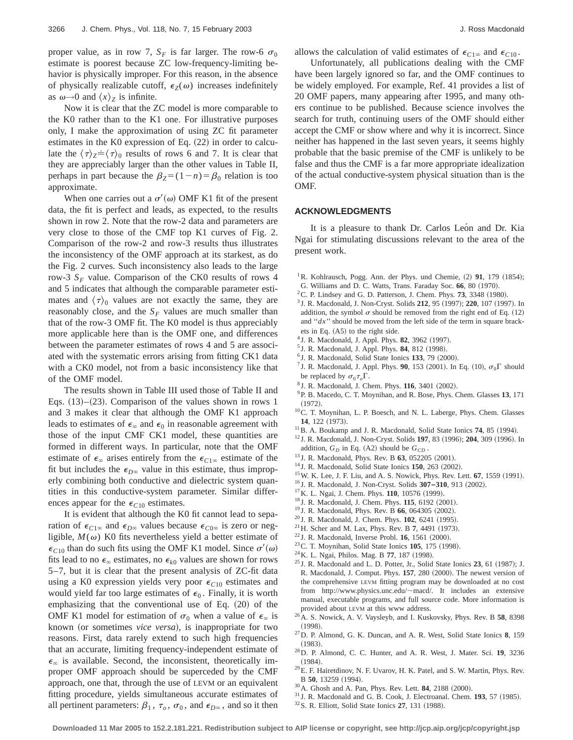proper value, as in row 7,  $S_F$  is far larger. The row-6  $\sigma_0$ estimate is poorest because ZC low-frequency-limiting behavior is physically improper. For this reason, in the absence of physically realizable cutoff,  $\epsilon_Z(\omega)$  increases indefinitely as  $ω→0$  and  $\langle x \rangle$ <sup>*Z*</sup> is infinite.

Now it is clear that the ZC model is more comparable to the K0 rather than to the K1 one. For illustrative purposes only, I make the approximation of using ZC fit parameter estimates in the K0 expression of Eq.  $(22)$  in order to calculate the  $\langle \tau \rangle_Z = \langle \tau \rangle_0$  results of rows 6 and 7. It is clear that they are appreciably larger than the other values in Table II, perhaps in part because the  $\beta_Z = (1 - n) = \beta_0$  relation is too approximate.

When one carries out a  $\sigma'(\omega)$  OMF K1 fit of the present data, the fit is perfect and leads, as expected, to the results shown in row 2. Note that the row-2 data and parameters are very close to those of the CMF top K1 curves of Fig. 2. Comparison of the row-2 and row-3 results thus illustrates the inconsistency of the OMF approach at its starkest, as do the Fig. 2 curves. Such inconsistency also leads to the large row-3  $S_F$  value. Comparison of the CK0 results of rows 4 and 5 indicates that although the comparable parameter estimates and  $\langle \tau \rangle_0$  values are not exactly the same, they are reasonably close, and the  $S_F$  values are much smaller than that of the row-3 OMF fit. The K0 model is thus appreciably more applicable here than is the OMF one, and differences between the parameter estimates of rows 4 and 5 are associated with the systematic errors arising from fitting CK1 data with a CK0 model, not from a basic inconsistency like that of the OMF model.

The results shown in Table III used those of Table II and Eqs.  $(13)$ – $(23)$ . Comparison of the values shown in rows 1 and 3 makes it clear that although the OMF K1 approach leads to estimates of  $\epsilon_{\infty}$  and  $\epsilon_0$  in reasonable agreement with those of the input CMF CK1 model, these quantities are formed in different ways. In particular, note that the OMF estimate of  $\epsilon_{\infty}$  arises entirely from the  $\epsilon_{C1\infty}$  estimate of the fit but includes the  $\epsilon_{D^\infty}$  value in this estimate, thus improperly combining both conductive and dielectric system quantities in this conductive-system parameter. Similar differences appear for the  $\epsilon_{C10}$  estimates.

It is evident that although the K0 fit cannot lead to separation of  $\epsilon_{C1\infty}$  and  $\epsilon_{D\infty}$  values because  $\epsilon_{C0\infty}$  is zero or negligible,  $M(\omega)$  K0 fits nevertheless yield a better estimate of  $\epsilon_{C10}$  than do such fits using the OMF K1 model. Since  $\sigma'(\omega)$ fits lead to no  $\epsilon_{\infty}$  estimates, no  $\epsilon_{k0}$  values are shown for rows 5–7, but it is clear that the present analysis of ZC-fit data using a K0 expression yields very poor  $\epsilon_{C10}$  estimates and would yield far too large estimates of  $\epsilon_0$ . Finally, it is worth emphasizing that the conventional use of Eq.  $(20)$  of the OMF K1 model for estimation of  $\sigma_0$  when a value of  $\epsilon_{\infty}$  is known (or sometimes *vice versa*), is inappropriate for two reasons. First, data rarely extend to such high frequencies that an accurate, limiting frequency-independent estimate of  $\epsilon_{\infty}$  is available. Second, the inconsistent, theoretically improper OMF approach should be superceded by the CMF approach, one that, through the use of LEVM or an equivalent fitting procedure, yields simultaneous accurate estimates of all pertinent parameters:  $\beta_1$ ,  $\tau_o$ ,  $\sigma_0$ , and  $\epsilon_{D\infty}$ , and so it then allows the calculation of valid estimates of  $\epsilon_{C1\infty}$  and  $\epsilon_{C10}$ .

Unfortunately, all publications dealing with the CMF have been largely ignored so far, and the OMF continues to be widely employed. For example, Ref. 41 provides a list of 20 OMF papers, many appearing after 1995, and many others continue to be published. Because science involves the search for truth, continuing users of the OMF should either accept the CMF or show where and why it is incorrect. Since neither has happened in the last seven years, it seems highly probable that the basic premise of the CMF is unlikely to be false and thus the CMF is a far more appropriate idealization of the actual conductive-system physical situation than is the OMF.

# **ACKNOWLEDGMENTS**

It is a pleasure to thank Dr. Carlos Leon and Dr. Kia Ngai for stimulating discussions relevant to the area of the present work.

- <sup>1</sup>R. Kohlrausch, Pogg. Ann. der Phys. und Chemie,  $(2)$  91, 179  $(1854)$ ;
- G. Williams and D. C. Watts, Trans. Faraday Soc. 66, 80 (1970).
- ${}^{2}$ C. P. Lindsey and G. D. Patterson, J. Chem. Phys. **73**, 3348  $(1980)$ .
- <sup>3</sup> J. R. Macdonald, J. Non-Cryst. Solids 212, 95 (1997); 220, 107 (1997). In addition, the symbol  $\sigma$  should be removed from the right end of Eq. (12) and ''*dx*'' should be moved from the left side of the term in square brackets in Eq.  $(A5)$  to the right side.
- <sup>4</sup> J. R. Macdonald, J. Appl. Phys. **82**, 3962 (1997).
- <sup>5</sup> J. R. Macdonald, J. Appl. Phys. **84**, 812 (1998).
- $^{6}$  J. R. Macdonald, Solid State Ionics 133, 79  $(2000)$ .
- <sup>7</sup> J. R. Macdonald, J. Appl. Phys. **90**, 153 (2001). In Eq. (10),  $\sigma_0 \Gamma$  should be replaced by  $\sigma_0 \tau_o \Gamma$ .
- <sup>8</sup> J. R. Macdonald, J. Chem. Phys. **116**, 3401 (2002).
- 9P. B. Macedo, C. T. Moynihan, and R. Bose, Phys. Chem. Glasses **13**, 171  $(1972).$
- <sup>10</sup>C. T. Moynihan, L. P. Boesch, and N. L. Laberge, Phys. Chem. Glasses 14, 122 (1973).
- $11$ B. A. Boukamp and J. R. Macdonald, Solid State Ionics  $74$ , 85 (1994).
- <sup>12</sup> J. R. Macdonald, J. Non-Cryst. Solids **197**, 83 (1996); **204**, 309 (1996). In addition,  $G_D$  in Eq. (A2) should be  $G_{CD}$ .
- <sup>13</sup> J. R. Macdonald, Phys. Rev. B 63, 052205 (2001).
- <sup>14</sup> J. R. Macdonald, Solid State Ionics **150**, 263 (2002).
- <sup>15</sup> W. K. Lee, J. F. Liu, and A. S. Nowick, Phys. Rev. Lett. **67**, 1559 (1991).
- <sup>16</sup> J. R. Macdonald, J. Non-Cryst. Solids  $307-310$ , 913 (2002).
- <sup>17</sup>K. L. Ngai, J. Chem. Phys. **110**, 10576 (1999).
- <sup>18</sup> J. R. Macdonald, J. Chem. Phys. **115**, 6192 (2001).
- <sup>19</sup> J. R. Macdonald, Phys. Rev. B **66**, 064305 (2002).
- <sup>20</sup> J. R. Macdonald, J. Chem. Phys. **102**, 6241 (1995).
- <sup>21</sup> H. Scher and M. Lax, Phys. Rev. B 7, 4491 (1973).
- $22$  J. R. Macdonald, Inverse Probl. **16**, 1561 (2000).
- <sup>23</sup>C. T. Moynihan, Solid State Ionics **105**, 175 (1998).
- <sup>24</sup> K. L. Ngai, Philos. Mag. B **77**, 187 (1998).
- $25$  J. R. Macdonald and L. D. Potter, Jr., Solid State Ionics  $23$ , 61 (1987); J. R. Macdonald, J. Comput. Phys. 157, 280 (2000). The newest version of the comprehensive LEVM fitting program may be downloaded at no cost from http://www.physics.unc.edu/~macd/. It includes an extensive manual, executable programs, and full source code. More information is provided about LEVM at this www address.
- 26A. S. Nowick, A. V. Vaysleyb, and I. Kuskovsky, Phys. Rev. B **58**, 8398  $(1998)$ .
- 27D. P. Almond, G. K. Duncan, and A. R. West, Solid State Ionics **8**, 159  $(1983)$ .
- 28D. P. Almond, C. C. Hunter, and A. R. West, J. Mater. Sci. **19**, 3236  $(1984)$ .
- $^{29}$ E. F. Hairetdinov, N. F. Uvarov, H. K. Patel, and S. W. Martin, Phys. Rev. B 50, 13259 (1994).
- <sup>30</sup> A. Ghosh and A. Pan, Phys. Rev. Lett. **84**, 2188 (2000).
- $31$  J. R. Macdonald and G. B. Cook, J. Electroanal. Chem.  $193$ , 57  $(1985)$ .
- <sup>32</sup> S. R. Elliott, Solid State Ionics **27**, 131 (1988).